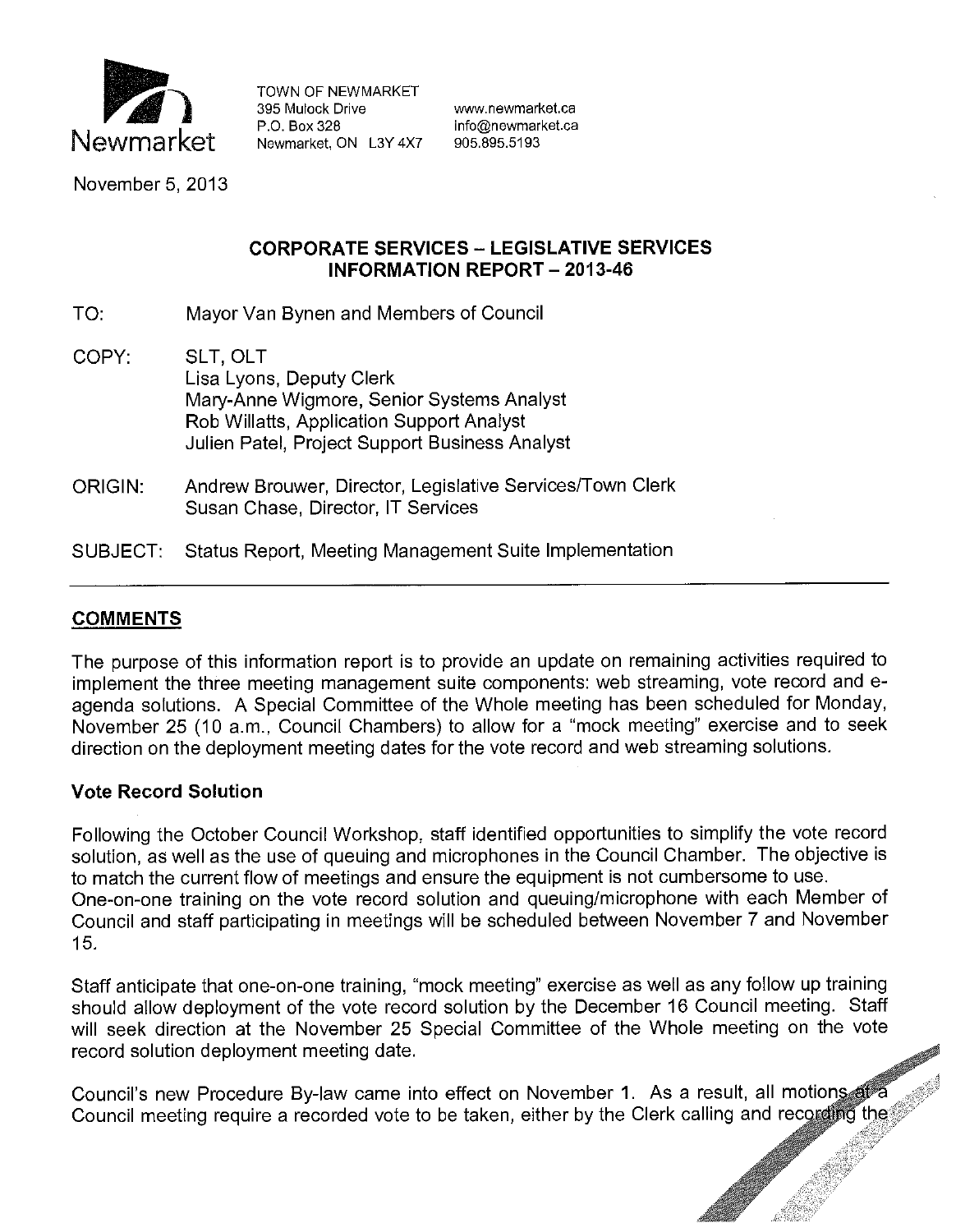

TOWN OF NEWMARKET 395 Mulock Drive **www.newmarket.ca** P.O. Box 328 info@newmarket.ca<br>Newmarket. ON L3Y 4X7 905.895.5193 Newmarket, ON L3Y 4X7

November 5, 2013

## **CORPORATE SERVICES - LEGISLATIVE SERVICES INFORMATION REPORT - 2013-46**

- TO: Mayor Van Bynen and Members of Council
- COPY: SLT, OLT Lisa Lyons, Deputy Clerk Mary-Anne Wigmore, Senior Systems Analyst Rob Willatts, Application Support Analyst Julien Patel, Project Support Business Analyst
- ORIGIN: Andrew Brouwer, Director, Legislative Services/Town Clerk Susan Chase, Director, IT Services
- SUBJECT: Status Report, Meeting Management Suite Implementation

# **COMMENTS**

The purpose of this information report is to provide an update on remaining activities required to implement the three meeting management suite components: web streaming, vote record and eagenda solutions. A Special Committee of the Whole meeting has been scheduled for Monday, November 25 (10 a.m., Council Chambers) to allow for a "mock meeting" exercise and to seek direction on the deployment meeting dates for the vote record and web streaming solutions.

### **Vote Record Solution**

Following the October Council Workshop, staff identified opportunities to simplify the vote record solution, as well as the use of queuing and microphones in the Council Chamber. The objective is to match the current flow of meetings and ensure the equipment is not cumbersome to use. One-on-one training on the vote record solution and queuing/microphone with each Member of Council and staff participating in meetings will be scheduled between November 7 and November 15.

Staff anticipate that one-on-one training, "mock meeting" exercise as well as any follow up training should allow deployment of the vote record solution by the December 16 Council meeting. Staff will seek direction at the November 25 Special Committee of the Whole meeting on the vote record solution deployment meeting date.

Council's new Procedure By-law came into effect on November 1. As a result, all motions at a Council meeting require a recorded vote to be taken, either by the Clerk calling and recording the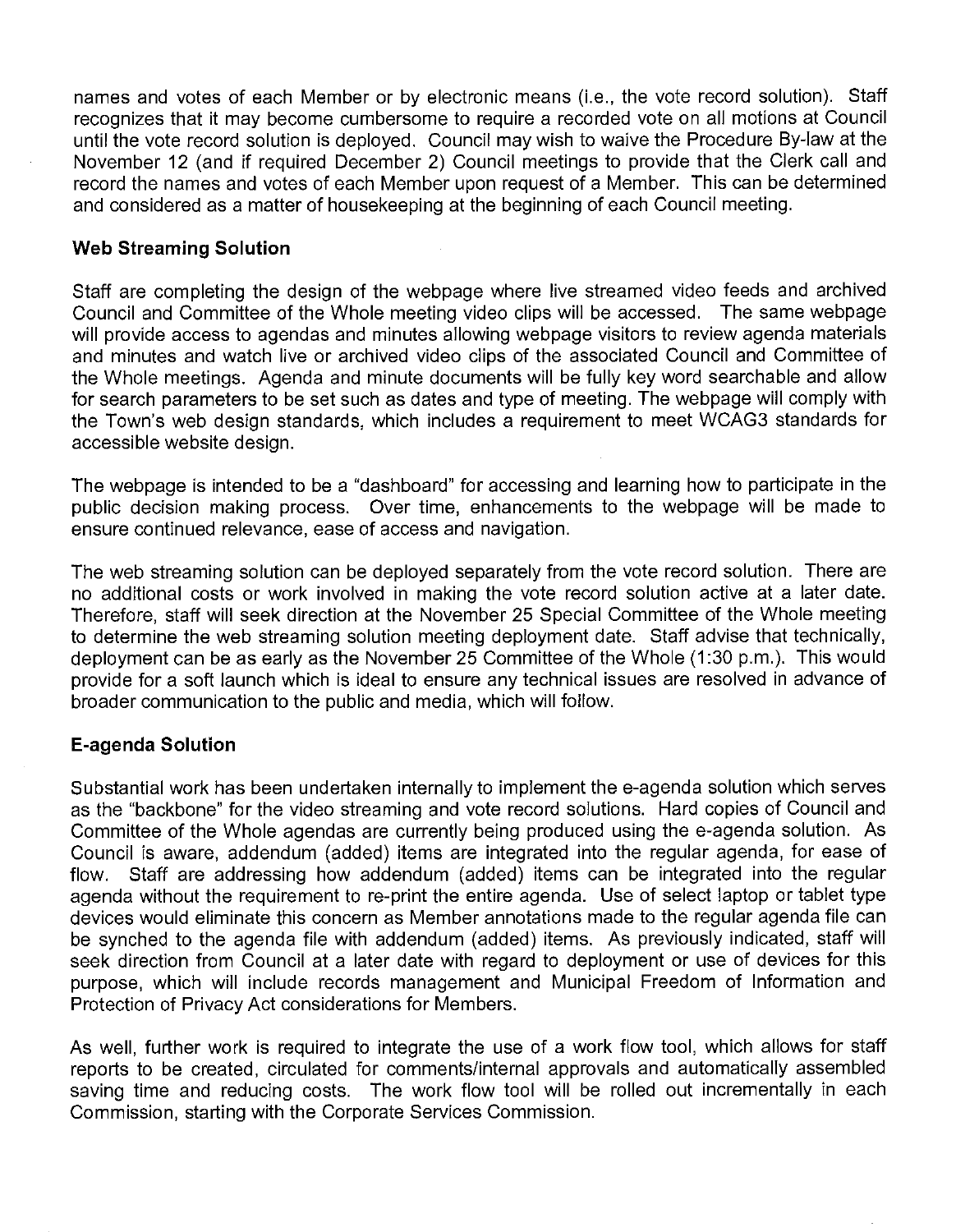names and votes of each Member or by electronic means (i.e., the vote record solution). Staff recognizes that it may become cumbersome to require a recorded vote on all motions at Council until the vote record solution is deployed. Council may wish to waive the Procedure By-law at the November 12 (and if required December 2) Council meetings to provide that the Clerk call and record the names and votes of each Member upon request of a Member. This can be determined and considered as a matter of housekeeping at the beginning of each Council meeting.

## **Web Streaming Solution**

Staff are completing the design of the webpage where live streamed video feeds and archived Council and Committee of the Whole meeting video clips will be accessed. The same webpage will provide access to agendas and minutes allowing webpage visitors to review agenda materials and minutes and watch live or archived video clips of the associated Council and Committee of the Whole meetings. Agenda and minute documents will be fully key word searchable and allow for search parameters to be set such as dates and type of meeting. The webpage will comply with the Town's web design standards, which includes a requirement to meet WCAG3 standards for accessible website design.

The webpage is intended to be a "dashboard" for accessing and learning how to participate in the public decision making process. Over time, enhancements to the webpage will be made to ensure continued relevance, ease of access and navigation.

The web streaming solution can be deployed separately from the vote record solution. There are no additional costs or work involved in making the vote record solution active at a later date. Therefore, staff will seek direction at the November 25 Special Committee of the Whole meeting to determine the web streaming solution meeting deployment date. Staff advise that technically, deployment can be as early as the November 25 Committee of the Whole (1 :30 p.m.). This would provide for a soft launch which is ideal to ensure any technical issues are resolved in advance of broader communication to the public and media, which will follow.

### **E-agenda Solution**

Substantial work has been undertaken internally to implement the e-agenda solution which serves as the "backbone" for the video streaming and vote record solutions. Hard copies of Council and Committee of the Whole agendas are currently being produced using the e-agenda solution. As Council is aware, addendum (added) items are integrated into the regular agenda, for ease of flow. Staff are addressing how addendum (added) items can be integrated into the regular agenda without the requirement to re-print the entire agenda. Use of select laptop or tablet type devices would eliminate this concern as Member annotations made to the regular agenda file can be synched to the agenda file with addendum (added) items. As previously indicated, staff will seek direction from Council at a later date with regard to deployment or use of devices for this purpose, which will include records management and Municipal Freedom of Information and Protection of Privacy Act considerations for Members.

As well, further work is required to integrate the use of a work flow tool, which allows for staff reports to be created, circulated for comments/internal approvals and automatically assembled saving time and reducing costs. The work flow tool will be rolled out incrementally in each Commission, starting with the Corporate Services Commission.